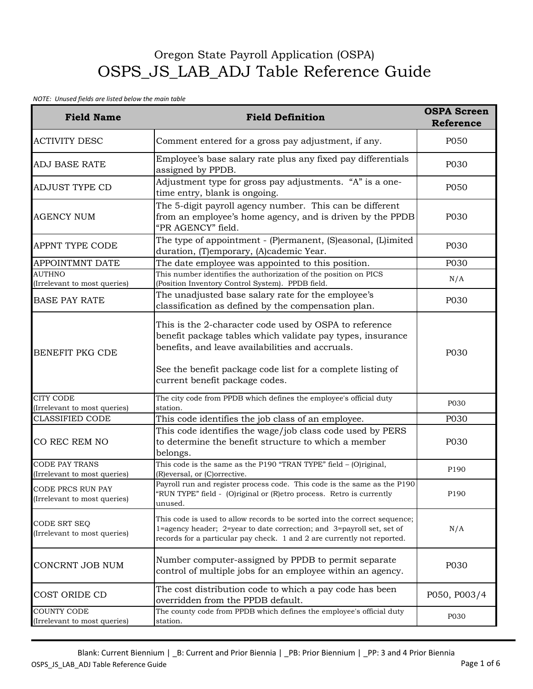## Oregon State Payroll Application (OSPA) OSPS\_JS\_LAB\_ADJ Table Reference Guide

## *NOTE: Unused fields are listed below the main table*

| <b>Field Name</b>                                        | <b>Field Definition</b>                                                                                                                                                                                                                                                   | <b>OSPA Screen</b><br>Reference |
|----------------------------------------------------------|---------------------------------------------------------------------------------------------------------------------------------------------------------------------------------------------------------------------------------------------------------------------------|---------------------------------|
| <b>ACTIVITY DESC</b>                                     | Comment entered for a gross pay adjustment, if any.                                                                                                                                                                                                                       | P050                            |
| <b>ADJ BASE RATE</b>                                     | Employee's base salary rate plus any fixed pay differentials<br>assigned by PPDB.                                                                                                                                                                                         | P030                            |
| <b>ADJUST TYPE CD</b>                                    | Adjustment type for gross pay adjustments. "A" is a one-<br>time entry, blank is ongoing.                                                                                                                                                                                 | P050                            |
| <b>AGENCY NUM</b>                                        | The 5-digit payroll agency number. This can be different<br>from an employee's home agency, and is driven by the PPDB<br>"PR AGENCY" field.                                                                                                                               | P030                            |
| <b>APPNT TYPE CODE</b>                                   | The type of appointment - (P)ermanent, (S)easonal, (L)imited<br>duration, (T)emporary, (A)cademic Year.                                                                                                                                                                   | P030                            |
| <b>APPOINTMNT DATE</b>                                   | The date employee was appointed to this position.                                                                                                                                                                                                                         | P030                            |
| <b>AUTHNO</b>                                            | This number identifies the authorization of the position on PICS                                                                                                                                                                                                          | N/A                             |
| (Irrelevant to most queries)                             | (Position Inventory Control System). PPDB field.                                                                                                                                                                                                                          |                                 |
| <b>BASE PAY RATE</b>                                     | The unadjusted base salary rate for the employee's<br>classification as defined by the compensation plan.                                                                                                                                                                 | P030                            |
| <b>BENEFIT PKG CDE</b>                                   | This is the 2-character code used by OSPA to reference<br>benefit package tables which validate pay types, insurance<br>benefits, and leave availabilities and accruals.<br>See the benefit package code list for a complete listing of<br>current benefit package codes. | P030                            |
| <b>CITY CODE</b><br>(Irrelevant to most queries)         | The city code from PPDB which defines the employee's official duty<br>station.                                                                                                                                                                                            | P030                            |
| <b>CLASSIFIED CODE</b>                                   | This code identifies the job class of an employee.                                                                                                                                                                                                                        | P030                            |
| CO REC REM NO                                            | This code identifies the wage/job class code used by PERS<br>to determine the benefit structure to which a member<br>belongs.                                                                                                                                             | P030                            |
| <b>CODE PAY TRANS</b><br>(Irrelevant to most queries)    | This code is the same as the P190 "TRAN TYPE" field - (O)riginal,<br>(R) eversal, or (C) orrective.                                                                                                                                                                       | P190                            |
| <b>CODE PRCS RUN PAY</b><br>(Irrelevant to most queries) | Payroll run and register process code. This code is the same as the P190<br>"RUN TYPE" field - (O)riginal or (R)etro process. Retro is currently<br>unused.                                                                                                               | P190                            |
| CODE SRT SEQ<br>(Irrelevant to most queries)             | This code is used to allow records to be sorted into the correct sequence;<br>1=agency header; 2=year to date correction; and 3=payroll set, set of<br>records for a particular pay check. 1 and 2 are currently not reported.                                            | N/A                             |
| CONCRNT JOB NUM                                          | Number computer-assigned by PPDB to permit separate<br>control of multiple jobs for an employee within an agency.                                                                                                                                                         | P030                            |
| COST ORIDE CD                                            | The cost distribution code to which a pay code has been<br>overridden from the PPDB default.                                                                                                                                                                              | P050, P003/4                    |
| <b>COUNTY CODE</b><br>(Irrelevant to most queries)       | The county code from PPDB which defines the employee's official duty<br>station.                                                                                                                                                                                          | P030                            |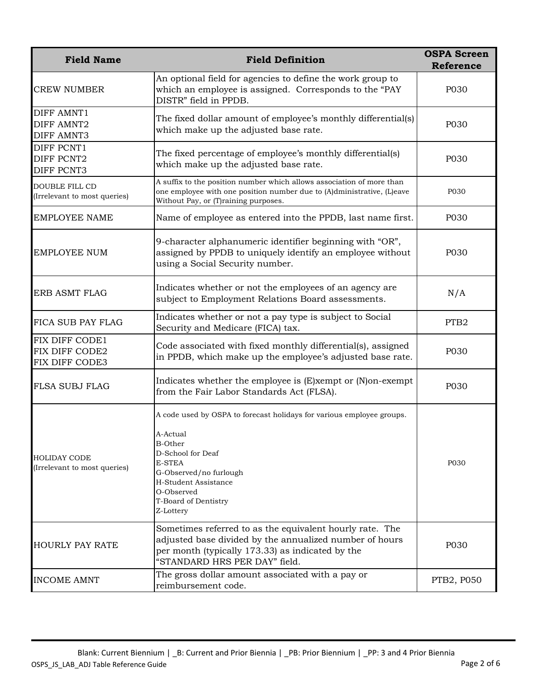| <b>Field Name</b>                                           | <b>Field Definition</b>                                                                                                                                                                                                                        | <b>OSPA Screen</b><br>Reference |
|-------------------------------------------------------------|------------------------------------------------------------------------------------------------------------------------------------------------------------------------------------------------------------------------------------------------|---------------------------------|
| <b>CREW NUMBER</b>                                          | An optional field for agencies to define the work group to<br>which an employee is assigned. Corresponds to the "PAY<br>DISTR" field in PPDB.                                                                                                  | P030                            |
| <b>DIFF AMNT1</b><br><b>DIFF AMNT2</b><br><b>DIFF AMNT3</b> | The fixed dollar amount of employee's monthly differential(s)<br>which make up the adjusted base rate.                                                                                                                                         | P030                            |
| DIFF PCNT1<br>DIFF PCNT2<br><b>DIFF PCNT3</b>               | The fixed percentage of employee's monthly differential(s)<br>which make up the adjusted base rate.                                                                                                                                            | P030                            |
| DOUBLE FILL CD<br>(Irrelevant to most queries)              | A suffix to the position number which allows association of more than<br>one employee with one position number due to (A)dministrative, (L)eave<br>Without Pay, or (T)raining purposes.                                                        | P030                            |
| <b>EMPLOYEE NAME</b>                                        | Name of employee as entered into the PPDB, last name first.                                                                                                                                                                                    | P030                            |
| <b>EMPLOYEE NUM</b>                                         | 9-character alphanumeric identifier beginning with "OR",<br>assigned by PPDB to uniquely identify an employee without<br>using a Social Security number.                                                                                       | P030                            |
| <b>ERB ASMT FLAG</b>                                        | Indicates whether or not the employees of an agency are<br>subject to Employment Relations Board assessments.                                                                                                                                  | N/A                             |
| FICA SUB PAY FLAG                                           | Indicates whether or not a pay type is subject to Social<br>Security and Medicare (FICA) tax.                                                                                                                                                  | PTB <sub>2</sub>                |
| FIX DIFF CODE1<br>FIX DIFF CODE2<br>FIX DIFF CODE3          | Code associated with fixed monthly differential(s), assigned<br>in PPDB, which make up the employee's adjusted base rate.                                                                                                                      | P030                            |
| FLSA SUBJ FLAG                                              | Indicates whether the employee is (E)xempt or (N)on-exempt<br>from the Fair Labor Standards Act (FLSA).                                                                                                                                        | P030                            |
| <b>HOLIDAY CODE</b><br>(Irrelevant to most queries)         | A code used by OSPA to forecast holidays for various employee groups.<br>A-Actual<br><b>B-Other</b><br>D-School for Deaf<br><b>E-STEA</b><br>G-Observed/no furlough<br>H-Student Assistance<br>O-Observed<br>T-Board of Dentistry<br>Z-Lottery | P030                            |
| <b>HOURLY PAY RATE</b>                                      | Sometimes referred to as the equivalent hourly rate. The<br>adjusted base divided by the annualized number of hours<br>per month (typically 173.33) as indicated by the<br>"STANDARD HRS PER DAY" field.                                       | P030                            |
| <b>INCOME AMNT</b>                                          | The gross dollar amount associated with a pay or<br>reimbursement code.                                                                                                                                                                        | PTB2, P050                      |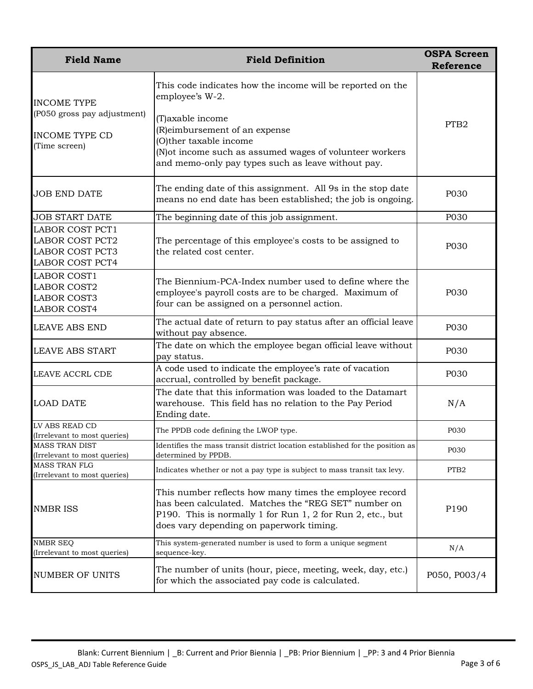| <b>Field Name</b>                                                                                    | <b>Field Definition</b>                                                                                                                                                                                                                                                         | <b>OSPA Screen</b><br><b>Reference</b> |
|------------------------------------------------------------------------------------------------------|---------------------------------------------------------------------------------------------------------------------------------------------------------------------------------------------------------------------------------------------------------------------------------|----------------------------------------|
| <b>INCOME TYPE</b><br>(P050 gross pay adjustment)<br><b>INCOME TYPE CD</b><br>(Time screen)          | This code indicates how the income will be reported on the<br>employee's W-2.<br>(T) axable income<br>(R) eimbursement of an expense<br>O)ther taxable income<br>(N) ot income such as assumed wages of volunteer workers<br>and memo-only pay types such as leave without pay. | PTB <sub>2</sub>                       |
| <b>JOB END DATE</b>                                                                                  | The ending date of this assignment. All 9s in the stop date<br>means no end date has been established; the job is ongoing.                                                                                                                                                      | P030                                   |
| <b>JOB START DATE</b>                                                                                | The beginning date of this job assignment.                                                                                                                                                                                                                                      | P030                                   |
| <b>LABOR COST PCT1</b><br><b>LABOR COST PCT2</b><br><b>LABOR COST PCT3</b><br><b>LABOR COST PCT4</b> | The percentage of this employee's costs to be assigned to<br>the related cost center.                                                                                                                                                                                           | P030                                   |
| <b>LABOR COST1</b><br><b>LABOR COST2</b><br><b>LABOR COST3</b><br><b>LABOR COST4</b>                 | The Biennium-PCA-Index number used to define where the<br>employee's payroll costs are to be charged. Maximum of<br>four can be assigned on a personnel action.                                                                                                                 | P030                                   |
| <b>LEAVE ABS END</b>                                                                                 | The actual date of return to pay status after an official leave<br>without pay absence.                                                                                                                                                                                         | P030                                   |
| <b>LEAVE ABS START</b>                                                                               | The date on which the employee began official leave without<br>pay status.                                                                                                                                                                                                      | P030                                   |
| LEAVE ACCRL CDE                                                                                      | A code used to indicate the employee's rate of vacation<br>accrual, controlled by benefit package.                                                                                                                                                                              | P030                                   |
| <b>LOAD DATE</b>                                                                                     | The date that this information was loaded to the Datamart<br>warehouse. This field has no relation to the Pay Period<br>Ending date.                                                                                                                                            | N/A                                    |
| LV ABS READ CD<br>(Irrelevant to most queries)                                                       | The PPDB code defining the LWOP type.                                                                                                                                                                                                                                           | P030                                   |
| <b>MASS TRAN DIST</b><br>(Irrelevant to most queries)                                                | Identifies the mass transit district location established for the position as<br>determined by PPDB.                                                                                                                                                                            | P030                                   |
| <b>MASS TRAN FLG</b><br>(Irrelevant to most queries)                                                 | Indicates whether or not a pay type is subject to mass transit tax levy.                                                                                                                                                                                                        | PTB <sub>2</sub>                       |
| <b>NMBR ISS</b>                                                                                      | This number reflects how many times the employee record<br>has been calculated. Matches the "REG SET" number on<br>P190. This is normally 1 for Run 1, 2 for Run 2, etc., but<br>does vary depending on paperwork timing.                                                       | P190                                   |
| <b>NMBR SEQ</b><br>(Irrelevant to most queries)                                                      | This system-generated number is used to form a unique segment<br>sequence-key.                                                                                                                                                                                                  | N/A                                    |
| <b>NUMBER OF UNITS</b>                                                                               | The number of units (hour, piece, meeting, week, day, etc.)<br>for which the associated pay code is calculated.                                                                                                                                                                 | P050, P003/4                           |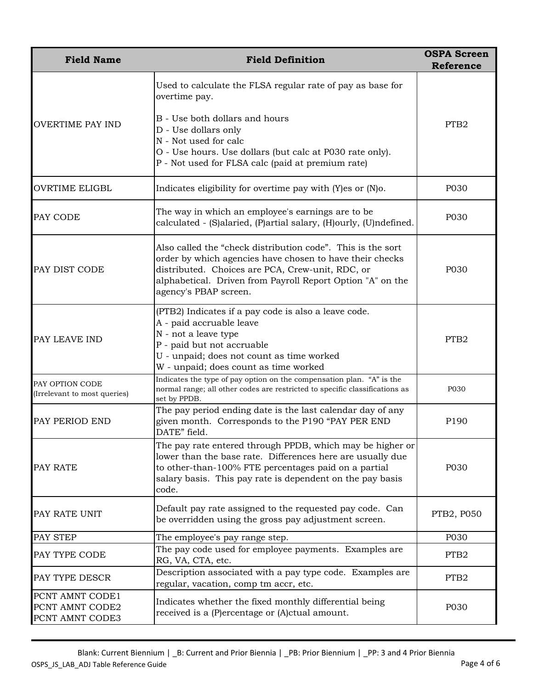| <b>Field Name</b>                                     | <b>Field Definition</b>                                                                                                                                                                                                                                            | <b>OSPA Screen</b><br><b>Reference</b> |
|-------------------------------------------------------|--------------------------------------------------------------------------------------------------------------------------------------------------------------------------------------------------------------------------------------------------------------------|----------------------------------------|
|                                                       | Used to calculate the FLSA regular rate of pay as base for<br>overtime pay.                                                                                                                                                                                        |                                        |
| <b>OVERTIME PAY IND</b>                               | B - Use both dollars and hours<br>D - Use dollars only<br>N - Not used for calc<br>O - Use hours. Use dollars (but calc at P030 rate only).<br>P - Not used for FLSA calc (paid at premium rate)                                                                   | PTB <sub>2</sub>                       |
| <b>OVRTIME ELIGBL</b>                                 | Indicates eligibility for overtime pay with (Y)es or (N)o.                                                                                                                                                                                                         | P030                                   |
| PAY CODE                                              | The way in which an employee's earnings are to be<br>calculated - (S)alaried, (P)artial salary, (H)ourly, (U)ndefined.                                                                                                                                             | P030                                   |
| PAY DIST CODE                                         | Also called the "check distribution code". This is the sort<br>order by which agencies have chosen to have their checks<br>distributed. Choices are PCA, Crew-unit, RDC, or<br>alphabetical. Driven from Payroll Report Option "A" on the<br>agency's PBAP screen. | P030                                   |
| PAY LEAVE IND                                         | (PTB2) Indicates if a pay code is also a leave code.<br>A - paid accruable leave<br>N - not a leave type<br>P - paid but not accruable<br>U - unpaid; does not count as time worked<br>W - unpaid; does count as time worked                                       | PTB <sub>2</sub>                       |
| PAY OPTION CODE<br>(Irrelevant to most queries)       | Indicates the type of pay option on the compensation plan. "A" is the<br>normal range; all other codes are restricted to specific classifications as<br>set by PPDB.                                                                                               | P030                                   |
| PAY PERIOD END                                        | The pay period ending date is the last calendar day of any<br>given month. Corresponds to the P190 "PAY PER END<br>DATE" field.                                                                                                                                    | P190                                   |
| PAY RATE                                              | The pay rate entered through PPDB, which may be higher or<br>lower than the base rate. Differences here are usually due<br>to other-than-100% FTE percentages paid on a partial<br>salary basis. This pay rate is dependent on the pay basis<br>code.              | P030                                   |
| PAY RATE UNIT                                         | Default pay rate assigned to the requested pay code. Can<br>be overridden using the gross pay adjustment screen.                                                                                                                                                   | PTB2, P050                             |
| PAY STEP                                              | The employee's pay range step.                                                                                                                                                                                                                                     | P030                                   |
| PAY TYPE CODE                                         | The pay code used for employee payments. Examples are<br>RG, VA, CTA, etc.                                                                                                                                                                                         | PTB <sub>2</sub>                       |
| PAY TYPE DESCR                                        | Description associated with a pay type code. Examples are<br>regular, vacation, comp tm accr, etc.                                                                                                                                                                 | PTB <sub>2</sub>                       |
| PCNT AMNT CODE1<br>PCNT AMNT CODE2<br>PCNT AMNT CODE3 | Indicates whether the fixed monthly differential being<br>received is a (P)ercentage or (A)ctual amount.                                                                                                                                                           | P030                                   |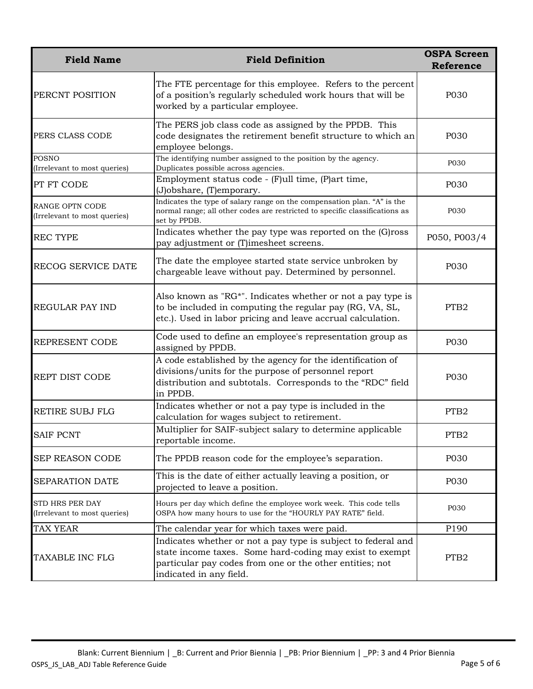| <b>Field Name</b>                                      | <b>Field Definition</b>                                                                                                                                                                                          | <b>OSPA Screen</b><br><b>Reference</b> |
|--------------------------------------------------------|------------------------------------------------------------------------------------------------------------------------------------------------------------------------------------------------------------------|----------------------------------------|
| PERCNT POSITION                                        | The FTE percentage for this employee. Refers to the percent<br>of a position's regularly scheduled work hours that will be<br>worked by a particular employee.                                                   | P030                                   |
| PERS CLASS CODE                                        | The PERS job class code as assigned by the PPDB. This<br>code designates the retirement benefit structure to which an<br>employee belongs.                                                                       | P030                                   |
| <b>POSNO</b><br>(Irrelevant to most queries)           | The identifying number assigned to the position by the agency.<br>Duplicates possible across agencies.                                                                                                           | P030                                   |
| PT FT CODE                                             | Employment status code - (F)ull time, (P)art time,<br>(J)obshare, (T)emporary.                                                                                                                                   | P030                                   |
| <b>RANGE OPTN CODE</b><br>(Irrelevant to most queries) | Indicates the type of salary range on the compensation plan. "A" is the<br>normal range; all other codes are restricted to specific classifications as<br>set by PPDB.                                           | P030                                   |
| <b>REC TYPE</b>                                        | Indicates whether the pay type was reported on the (G)ross<br>pay adjustment or (T)imesheet screens.                                                                                                             | P050, P003/4                           |
| RECOG SERVICE DATE                                     | The date the employee started state service unbroken by<br>chargeable leave without pay. Determined by personnel.                                                                                                | P030                                   |
| <b>REGULAR PAY IND</b>                                 | Also known as "RG*". Indicates whether or not a pay type is<br>to be included in computing the regular pay (RG, VA, SL,<br>etc.). Used in labor pricing and leave accrual calculation.                           | PTB <sub>2</sub>                       |
| <b>REPRESENT CODE</b>                                  | Code used to define an employee's representation group as<br>assigned by PPDB.                                                                                                                                   | P030                                   |
| <b>REPT DIST CODE</b>                                  | A code established by the agency for the identification of<br>divisions/units for the purpose of personnel report<br>distribution and subtotals. Corresponds to the "RDC" field<br>in PPDB.                      | P030                                   |
| RETIRE SUBJ FLG                                        | Indicates whether or not a pay type is included in the<br>calculation for wages subject to retirement.                                                                                                           | PTB <sub>2</sub>                       |
| <b>SAIF PCNT</b>                                       | Multiplier for SAIF-subject salary to determine applicable<br>reportable income.                                                                                                                                 | PTB <sub>2</sub>                       |
| <b>SEP REASON CODE</b>                                 | The PPDB reason code for the employee's separation.                                                                                                                                                              | P030                                   |
| SEPARATION DATE                                        | This is the date of either actually leaving a position, or<br>projected to leave a position.                                                                                                                     | P030                                   |
| <b>STD HRS PER DAY</b><br>(Irrelevant to most queries) | Hours per day which define the employee work week. This code tells<br>OSPA how many hours to use for the "HOURLY PAY RATE" field.                                                                                | P030                                   |
| <b>TAX YEAR</b>                                        | The calendar year for which taxes were paid.                                                                                                                                                                     | P190                                   |
| TAXABLE INC FLG                                        | Indicates whether or not a pay type is subject to federal and<br>state income taxes. Some hard-coding may exist to exempt<br>particular pay codes from one or the other entities; not<br>indicated in any field. | PTB <sub>2</sub>                       |